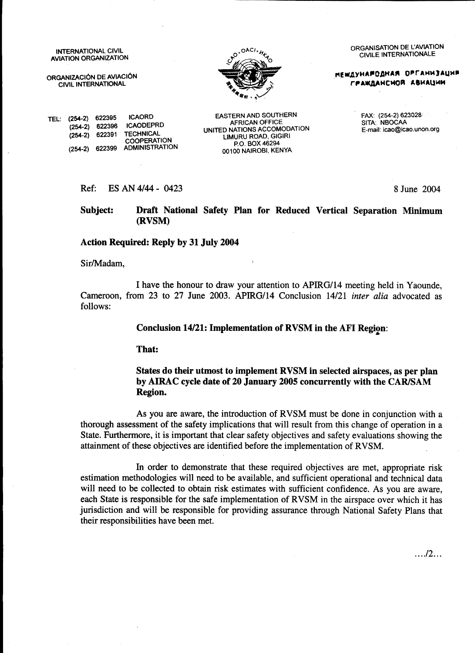INTERNATIONAL CIVIL **AVIATION ORGANIZATION** 

ORGANIZACIÓN DE AVIACIÓN CIVIL INTERNATIONAL

 $(254-2)$  622396

TEL: (254-2) 622395

 $(254-2)$ 



EASTERN AND SOUTHERN

**AFRICAN OFFICE** 

UNITED NATIONS ACCOMODATION

LIMURU ROAD, GIGIRI

P.O. BOX 46294

00100 NAIROBI, KENYA

ORGANISATION DE L'AVIATION **CIVILE INTERNATIONALE** 

**МЕЖДУНАРОДНАЯ ОРГАНИЗАЦИЯ** ГРАЖДАНСИОЙ АВИАЦИИ

FAX: (254-2) 623028 SITA: NBOCAA E-mail: icao@icao.unon.org

ES AN 4/44 - 0423  $Ref:$ 

**ICAORD** 

622391 TECHNICAL

(254-2) 622399 ADMINISTRATION

**ICAODEPRD** 

**COOPERATION** 

8 June 2004

 $\ldots$ ./2...

Subject: Draft National Safety Plan for Reduced Vertical Separation Minimum (RVSM)

#### **Action Required: Reply by 31 July 2004**

Sir/Madam.

I have the honour to draw your attention to APIRG/14 meeting held in Yaounde, Cameroon, from 23 to 27 June 2003. APIRG/14 Conclusion 14/21 inter alia advocated as follows:

#### **Conclusion 14/21: Implementation of RVSM in the AFI Region:**

That:

#### States do their utmost to implement RVSM in selected airspaces, as per plan by AIRAC cycle date of 20 January 2005 concurrently with the CAR/SAM Region.

As you are aware, the introduction of RVSM must be done in conjunction with a thorough assessment of the safety implications that will result from this change of operation in a State. Furthermore, it is important that clear safety objectives and safety evaluations showing the attainment of these objectives are identified before the implementation of RVSM.

In order to demonstrate that these required objectives are met, appropriate risk estimation methodologies will need to be available, and sufficient operational and technical data will need to be collected to obtain risk estimates with sufficient confidence. As you are aware, each State is responsible for the safe implementation of RVSM in the airspace over which it has jurisdiction and will be responsible for providing assurance through National Safety Plans that their responsibilities have been met.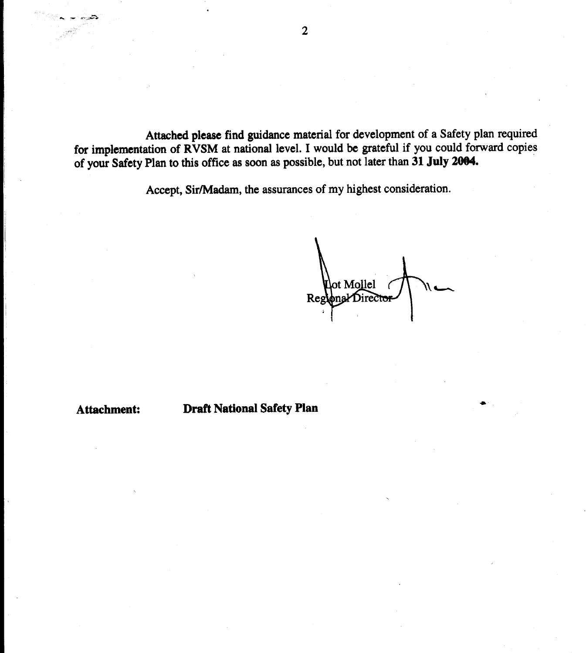Attached please find guidance material for development of a Safety plan required for implementation of RVSM at national level. I would be grateful if you could forward copies of your Safety Plan to this office as soon as possible, but not later than 31 July 2004.

Accept, Sir/Madam, the assurances of my highest consideration.

ot Mollel Regional Director

Attachment:

**Draft National Safety Plan**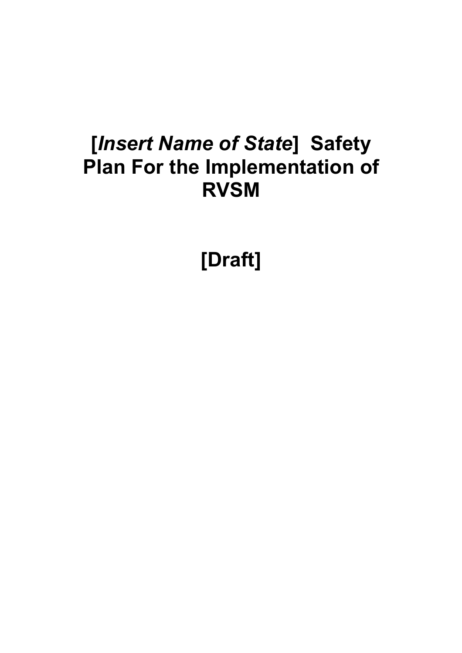# **[***Insert Name of State***] Safety Plan For the Implementation of RVSM**

**[Draft]**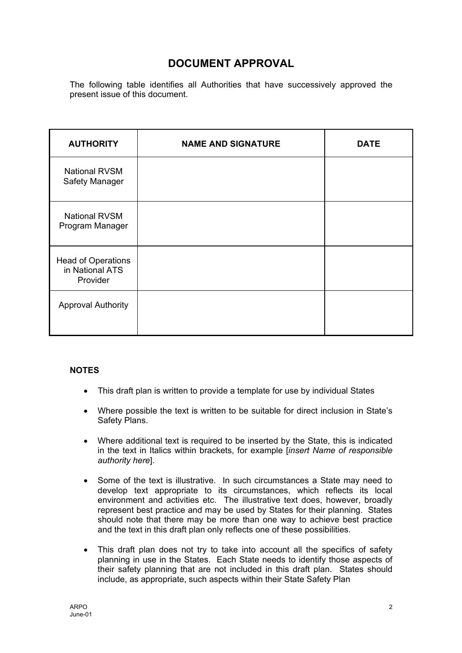# **DOCUMENT APPROVAL**

The following table identifies all Authorities that have successively approved the present issue of this document.

| <b>AUTHORITY</b>                                         | <b>NAME AND SIGNATURE</b> | <b>DATE</b> |
|----------------------------------------------------------|---------------------------|-------------|
| <b>National RVSM</b><br>Safety Manager                   |                           |             |
| <b>National RVSM</b><br>Program Manager                  |                           |             |
| <b>Head of Operations</b><br>in National ATS<br>Provider |                           |             |
| <b>Approval Authority</b>                                |                           |             |

### **NOTES**

- This draft plan is written to provide a template for use by individual States
- Where possible the text is written to be suitable for direct inclusion in State's Safety Plans.
- Where additional text is required to be inserted by the State, this is indicated in the text in Italics within brackets, for example [*insert Name of responsible authority here*].
- Some of the text is illustrative. In such circumstances a State may need to develop text appropriate to its circumstances, which reflects its local environment and activities etc. The illustrative text does, however, broadly represent best practice and may be used by States for their planning. States should note that there may be more than one way to achieve best practice and the text in this draft plan only reflects one of these possibilities.
- This draft plan does not try to take into account all the specifics of safety planning in use in the States. Each State needs to identify those aspects of their safety planning that are not included in this draft plan. States should include, as appropriate, such aspects within their State Safety Plan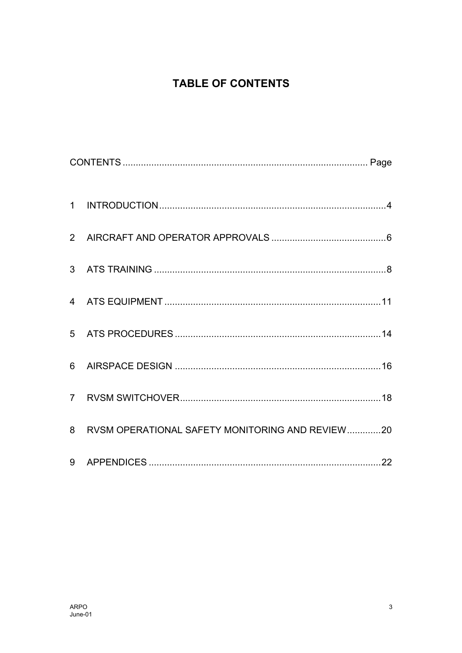# **TABLE OF CONTENTS**

| 8 RVSM OPERATIONAL SAFETY MONITORING AND REVIEW20 |  |
|---------------------------------------------------|--|
|                                                   |  |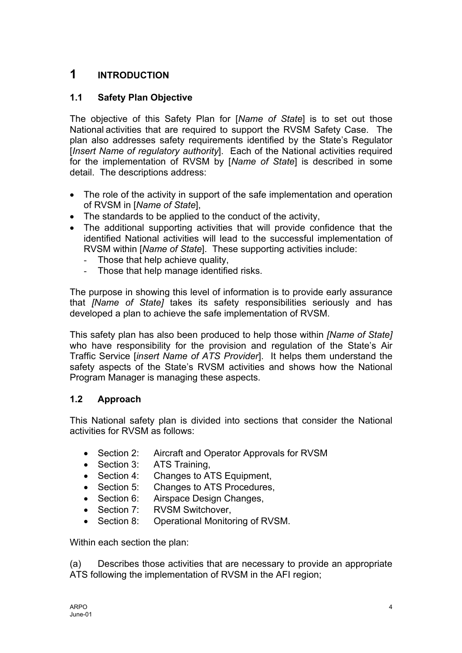# <span id="page-5-0"></span>**1 INTRODUCTION**

# **1.1 Safety Plan Objective**

The objective of this Safety Plan for [*Name of State*] is to set out those National activities that are required to support the RVSM Safety Case. The plan also addresses safety requirements identified by the State's Regulator [*Insert Name of regulatory authority*]. Each of the National activities required for the implementation of RVSM by [*Name of State*] is described in some detail. The descriptions address:

- The role of the activity in support of the safe implementation and operation of RVSM in [*Name of State*],
- The standards to be applied to the conduct of the activity,
- The additional supporting activities that will provide confidence that the identified National activities will lead to the successful implementation of RVSM within [*Name of State*]. These supporting activities include:
	- Those that help achieve quality,
	- Those that help manage identified risks.

The purpose in showing this level of information is to provide early assurance that *[Name of State]* takes its safety responsibilities seriously and has developed a plan to achieve the safe implementation of RVSM.

This safety plan has also been produced to help those within *[Name of State]* who have responsibility for the provision and regulation of the State's Air Traffic Service [*insert Name of ATS Provider*]. It helps them understand the safety aspects of the State's RVSM activities and shows how the National Program Manager is managing these aspects.

# **1.2 Approach**

This National safety plan is divided into sections that consider the National activities for RVSM as follows:

- Section 2: Aircraft and Operator Approvals for RVSM
- Section 3: ATS Training,
- Section 4: Changes to ATS Equipment,
- Section 5: Changes to ATS Procedures,
- Section 6: Airspace Design Changes,
- Section 7: RVSM Switchover.
- Section 8: Operational Monitoring of RVSM.

Within each section the plan:

(a) Describes those activities that are necessary to provide an appropriate ATS following the implementation of RVSM in the AFI region;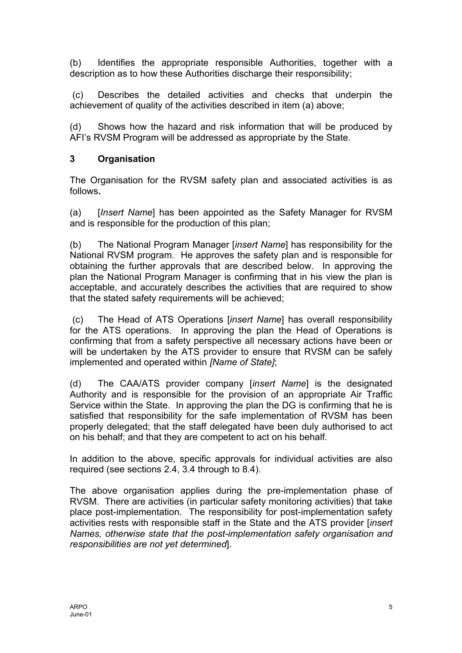(b) Identifies the appropriate responsible Authorities, together with a description as to how these Authorities discharge their responsibility;

(c) Describes the detailed activities and checks that underpin the achievement of quality of the activities described in item (a) above;

(d) Shows how the hazard and risk information that will be produced by AFI's RVSM Program will be addressed as appropriate by the State.

## **3 Organisation**

The Organisation for the RVSM safety plan and associated activities is as follows**.**

(a) [*Insert Name*] has been appointed as the Safety Manager for RVSM and is responsible for the production of this plan;

(b) The National Program Manager [*insert Name*] has responsibility for the National RVSM program. He approves the safety plan and is responsible for obtaining the further approvals that are described below. In approving the plan the National Program Manager is confirming that in his view the plan is acceptable, and accurately describes the activities that are required to show that the stated safety requirements will be achieved;

(c) The Head of ATS Operations [*insert Name*] has overall responsibility for the ATS operations. In approving the plan the Head of Operations is confirming that from a safety perspective all necessary actions have been or will be undertaken by the ATS provider to ensure that RVSM can be safely implemented and operated within *[Name of State]*;

(d) The CAA/ATS provider company [*insert Name*] is the designated Authority and is responsible for the provision of an appropriate Air Traffic Service within the State. In approving the plan the DG is confirming that he is satisfied that responsibility for the safe implementation of RVSM has been properly delegated; that the staff delegated have been duly authorised to act on his behalf; and that they are competent to act on his behalf.

In addition to the above, specific approvals for individual activities are also required (see sections 2.4, 3.4 through to 8.4).

The above organisation applies during the pre-implementation phase of RVSM. There are activities (in particular safety monitoring activities) that take place post-implementation. The responsibility for post-implementation safety activities rests with responsible staff in the State and the ATS provider [*insert Names, otherwise state that the post-implementation safety organisation and responsibilities are not yet determined*].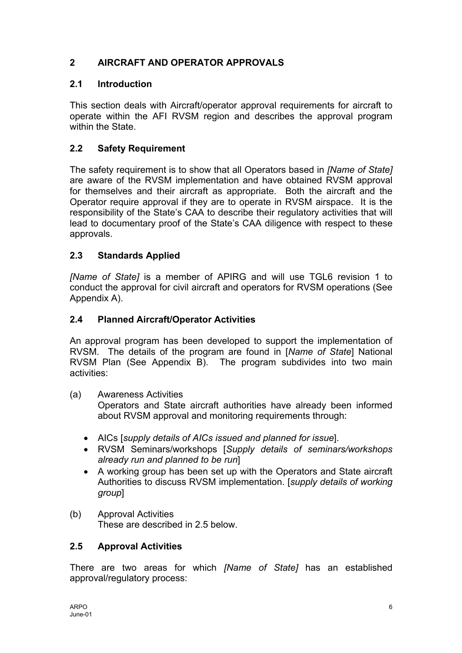# <span id="page-7-0"></span>**2 AIRCRAFT AND OPERATOR APPROVALS**

# **2.1 Introduction**

This section deals with Aircraft/operator approval requirements for aircraft to operate within the AFI RVSM region and describes the approval program within the State.

# **2.2 Safety Requirement**

The safety requirement is to show that all Operators based in *[Name of State]* are aware of the RVSM implementation and have obtained RVSM approval for themselves and their aircraft as appropriate. Both the aircraft and the Operator require approval if they are to operate in RVSM airspace. It is the responsibility of the State's CAA to describe their regulatory activities that will lead to documentary proof of the State's CAA diligence with respect to these approvals.

# **2.3 Standards Applied**

*[Name of State]* is a member of APIRG and will use TGL6 revision 1 to conduct the approval for civil aircraft and operators for RVSM operations (See Appendix A).

## **2.4 Planned Aircraft/Operator Activities**

An approval program has been developed to support the implementation of RVSM. The details of the program are found in [*Name of State*] National RVSM Plan (See Appendix B). The program subdivides into two main activities:

(a) Awareness Activities

Operators and State aircraft authorities have already been informed about RVSM approval and monitoring requirements through:

- AICs [*supply details of AICs issued and planned for issue*].
- RVSM Seminars/workshops [*Supply details of seminars/workshops already run and planned to be run*]
- A working group has been set up with the Operators and State aircraft Authorities to discuss RVSM implementation. [*supply details of working group*]
- (b) Approval Activities These are described in 2.5 below.

## **2.5 Approval Activities**

There are two areas for which *[Name of State]* has an established approval/regulatory process: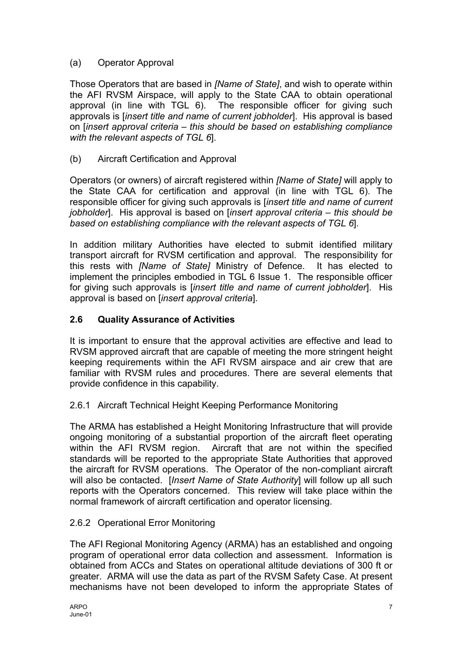# (a) Operator Approval

Those Operators that are based in *[Name of State]*, and wish to operate within the AFI RVSM Airspace, will apply to the State CAA to obtain operational approval (in line with TGL 6). The responsible officer for giving such approvals is [*insert title and name of current jobholder*]. His approval is based on [*insert approval criteria – this should be based on establishing compliance with the relevant aspects of TGL 6*].

(b) Aircraft Certification and Approval

Operators (or owners) of aircraft registered within *[Name of State]* will apply to the State CAA for certification and approval (in line with TGL 6). The responsible officer for giving such approvals is [*insert title and name of current jobholder*]. His approval is based on [*insert approval criteria – this should be based on establishing compliance with the relevant aspects of TGL 6*].

In addition military Authorities have elected to submit identified military transport aircraft for RVSM certification and approval. The responsibility for this rests with *[Name of State]* Ministry of Defence. It has elected to implement the principles embodied in TGL 6 Issue 1. The responsible officer for giving such approvals is [*insert title and name of current jobholder*]. His approval is based on [*insert approval criteria*].

# **2.6 Quality Assurance of Activities**

It is important to ensure that the approval activities are effective and lead to RVSM approved aircraft that are capable of meeting the more stringent height keeping requirements within the AFI RVSM airspace and air crew that are familiar with RVSM rules and procedures. There are several elements that provide confidence in this capability.

## 2.6.1 Aircraft Technical Height Keeping Performance Monitoring

The ARMA has established a Height Monitoring Infrastructure that will provide ongoing monitoring of a substantial proportion of the aircraft fleet operating within the AFI RVSM region. Aircraft that are not within the specified standards will be reported to the appropriate State Authorities that approved the aircraft for RVSM operations. The Operator of the non-compliant aircraft will also be contacted. [*Insert Name of State Authority*] will follow up all such reports with the Operators concerned. This review will take place within the normal framework of aircraft certification and operator licensing.

## 2.6.2 Operational Error Monitoring

The AFI Regional Monitoring Agency (ARMA) has an established and ongoing program of operational error data collection and assessment. Information is obtained from ACCs and States on operational altitude deviations of 300 ft or greater. ARMA will use the data as part of the RVSM Safety Case. At present mechanisms have not been developed to inform the appropriate States of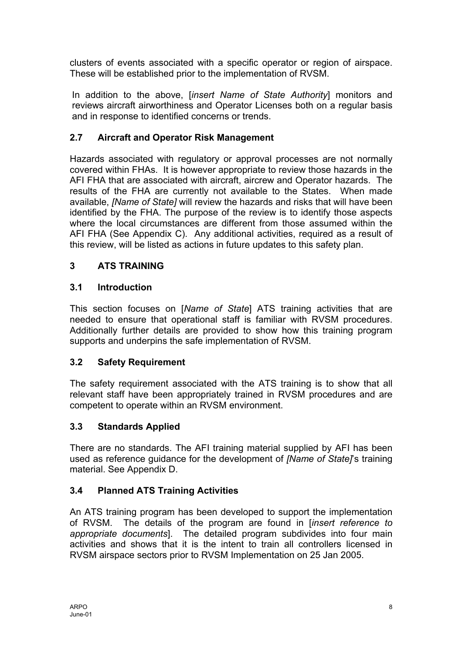<span id="page-9-0"></span>clusters of events associated with a specific operator or region of airspace. These will be established prior to the implementation of RVSM.

In addition to the above, [*insert Name of State Authority*] monitors and reviews aircraft airworthiness and Operator Licenses both on a regular basis and in response to identified concerns or trends.

# **2.7 Aircraft and Operator Risk Management**

Hazards associated with regulatory or approval processes are not normally covered within FHAs. It is however appropriate to review those hazards in the AFI FHA that are associated with aircraft, aircrew and Operator hazards. The results of the FHA are currently not available to the States. When made available, *[Name of State]* will review the hazards and risks that will have been identified by the FHA. The purpose of the review is to identify those aspects where the local circumstances are different from those assumed within the AFI FHA (See Appendix C). Any additional activities, required as a result of this review, will be listed as actions in future updates to this safety plan.

# **3 ATS TRAINING**

# **3.1 Introduction**

This section focuses on [*Name of State*] ATS training activities that are needed to ensure that operational staff is familiar with RVSM procedures. Additionally further details are provided to show how this training program supports and underpins the safe implementation of RVSM.

# **3.2 Safety Requirement**

The safety requirement associated with the ATS training is to show that all relevant staff have been appropriately trained in RVSM procedures and are competent to operate within an RVSM environment.

# **3.3 Standards Applied**

There are no standards. The AFI training material supplied by AFI has been used as reference guidance for the development of *[Name of State]*'s training material. See Appendix D.

## **3.4 Planned ATS Training Activities**

An ATS training program has been developed to support the implementation of RVSM. The details of the program are found in [*insert reference to appropriate documents*]. The detailed program subdivides into four main activities and shows that it is the intent to train all controllers licensed in RVSM airspace sectors prior to RVSM Implementation on 25 Jan 2005.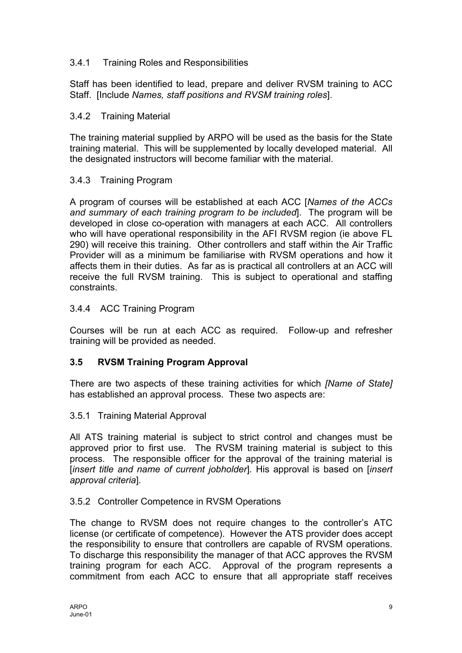## 3.4.1 Training Roles and Responsibilities

Staff has been identified to lead, prepare and deliver RVSM training to ACC Staff. [Include *Names, staff positions and RVSM training roles*].

## 3.4.2 Training Material

The training material supplied by ARPO will be used as the basis for the State training material. This will be supplemented by locally developed material. All the designated instructors will become familiar with the material.

## 3.4.3 Training Program

A program of courses will be established at each ACC [*Names of the ACCs and summary of each training program to be included*]. The program will be developed in close co-operation with managers at each ACC. All controllers who will have operational responsibility in the AFI RVSM region (ie above FL 290) will receive this training. Other controllers and staff within the Air Traffic Provider will as a minimum be familiarise with RVSM operations and how it affects them in their duties. As far as is practical all controllers at an ACC will receive the full RVSM training. This is subject to operational and staffing constraints.

## 3.4.4 ACC Training Program

Courses will be run at each ACC as required. Follow-up and refresher training will be provided as needed.

## **3.5 RVSM Training Program Approval**

There are two aspects of these training activities for which *[Name of State]* has established an approval process. These two aspects are:

## 3.5.1 Training Material Approval

All ATS training material is subject to strict control and changes must be approved prior to first use. The RVSM training material is subject to this process. The responsible officer for the approval of the training material is [*insert title and name of current jobholder*]*.* His approval is based on [*insert approval criteria*]*.* 

## 3.5.2 Controller Competence in RVSM Operations

The change to RVSM does not require changes to the controller's ATC license (or certificate of competence). However the ATS provider does accept the responsibility to ensure that controllers are capable of RVSM operations. To discharge this responsibility the manager of that ACC approves the RVSM training program for each ACC. Approval of the program represents a commitment from each ACC to ensure that all appropriate staff receives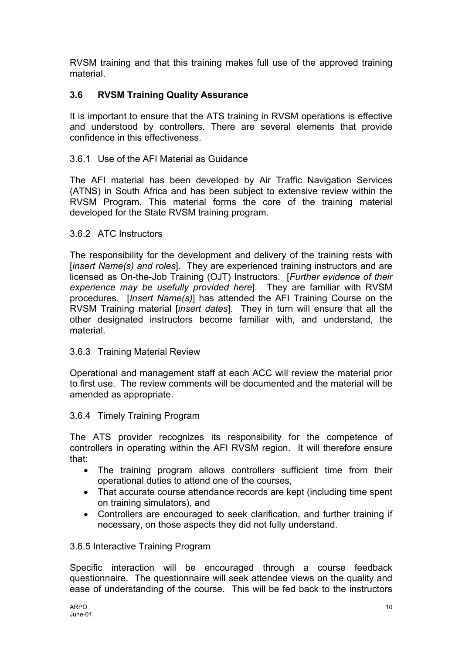RVSM training and that this training makes full use of the approved training material.

# **3.6 RVSM Training Quality Assurance**

It is important to ensure that the ATS training in RVSM operations is effective and understood by controllers. There are several elements that provide confidence in this effectiveness.

## 3.6.1 Use of the AFI Material as Guidance

The AFI material has been developed by Air Traffic Navigation Services (ATNS) in South Africa and has been subject to extensive review within the RVSM Program. This material forms the core of the training material developed for the State RVSM training program.

## 3.6.2 ATC Instructors

The responsibility for the development and delivery of the training rests with [*insert Name(s) and roles*]. They are experienced training instructors and are licensed as On-the-Job Training (OJT) Instructors. [*Further evidence of their experience may be usefully provided here*]*.* They are familiar with RVSM procedures. [*Insert Name(s)*] has attended the AFI Training Course on the RVSM Training material [*insert dates*]. They in turn will ensure that all the other designated instructors become familiar with, and understand, the material.

## 3.6.3 Training Material Review

Operational and management staff at each ACC will review the material prior to first use. The review comments will be documented and the material will be amended as appropriate.

## 3.6.4 Timely Training Program

The ATS provider recognizes its responsibility for the competence of controllers in operating within the AFI RVSM region. It will therefore ensure that:

- The training program allows controllers sufficient time from their operational duties to attend one of the courses,
- That accurate course attendance records are kept (including time spent on training simulators), and
- Controllers are encouraged to seek clarification, and further training if necessary, on those aspects they did not fully understand.

## 3.6.5 Interactive Training Program

Specific interaction will be encouraged through a course feedback questionnaire. The questionnaire will seek attendee views on the quality and ease of understanding of the course. This will be fed back to the instructors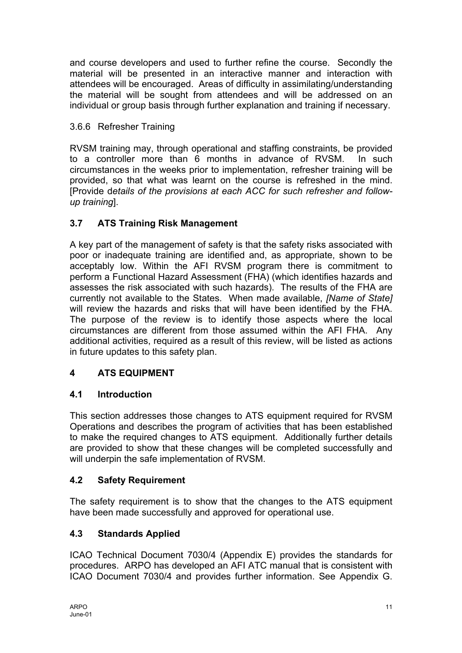<span id="page-12-0"></span>and course developers and used to further refine the course. Secondly the material will be presented in an interactive manner and interaction with attendees will be encouraged. Areas of difficulty in assimilating/understanding the material will be sought from attendees and will be addressed on an individual or group basis through further explanation and training if necessary.

# 3.6.6 Refresher Training

RVSM training may, through operational and staffing constraints, be provided to a controller more than 6 months in advance of RVSM. In such circumstances in the weeks prior to implementation, refresher training will be provided, so that what was learnt on the course is refreshed in the mind. [Provide d*etails of the provisions at each ACC for such refresher and followup training*].

# **3.7 ATS Training Risk Management**

A key part of the management of safety is that the safety risks associated with poor or inadequate training are identified and, as appropriate, shown to be acceptably low. Within the AFI RVSM program there is commitment to perform a Functional Hazard Assessment (FHA) (which identifies hazards and assesses the risk associated with such hazards). The results of the FHA are currently not available to the States. When made available, *[Name of State]* will review the hazards and risks that will have been identified by the FHA. The purpose of the review is to identify those aspects where the local circumstances are different from those assumed within the AFI FHA. Any additional activities, required as a result of this review, will be listed as actions in future updates to this safety plan.

# **4 ATS EQUIPMENT**

## **4.1 Introduction**

This section addresses those changes to ATS equipment required for RVSM Operations and describes the program of activities that has been established to make the required changes to ATS equipment. Additionally further details are provided to show that these changes will be completed successfully and will underpin the safe implementation of RVSM.

## **4.2 Safety Requirement**

The safety requirement is to show that the changes to the ATS equipment have been made successfully and approved for operational use.

# **4.3 Standards Applied**

ICAO Technical Document 7030/4 (Appendix E) provides the standards for procedures. ARPO has developed an AFI ATC manual that is consistent with ICAO Document 7030/4 and provides further information. See Appendix G.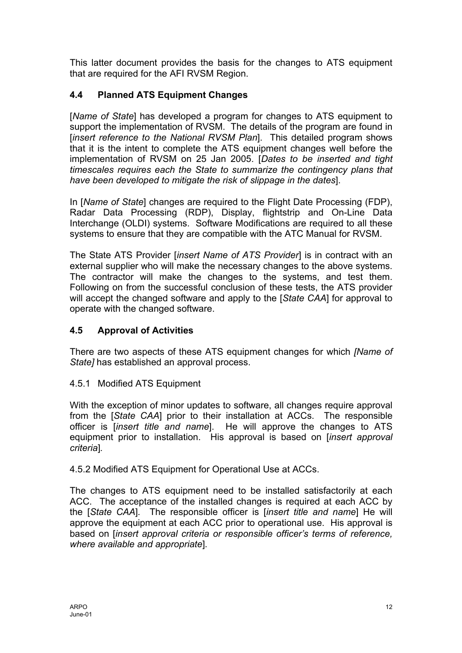This latter document provides the basis for the changes to ATS equipment that are required for the AFI RVSM Region.

# **4.4 Planned ATS Equipment Changes**

[*Name of State*] has developed a program for changes to ATS equipment to support the implementation of RVSM. The details of the program are found in [*insert reference to the National RVSM Plan*]. This detailed program shows that it is the intent to complete the ATS equipment changes well before the implementation of RVSM on 25 Jan 2005. [*Dates to be inserted and tight timescales requires each the State to summarize the contingency plans that have been developed to mitigate the risk of slippage in the dates*].

In [*Name of State*] changes are required to the Flight Date Processing (FDP), Radar Data Processing (RDP), Display, flightstrip and On-Line Data Interchange (OLDI) systems. Software Modifications are required to all these systems to ensure that they are compatible with the ATC Manual for RVSM.

The State ATS Provider [*insert Name of ATS Provider*] is in contract with an external supplier who will make the necessary changes to the above systems. The contractor will make the changes to the systems, and test them. Following on from the successful conclusion of these tests, the ATS provider will accept the changed software and apply to the [*State CAA*] for approval to operate with the changed software.

# **4.5 Approval of Activities**

There are two aspects of these ATS equipment changes for which *[Name of State]* has established an approval process.

## 4.5.1 Modified ATS Equipment

With the exception of minor updates to software, all changes require approval from the [*State CAA*] prior to their installation at ACCs. The responsible officer is [*insert title and name*]. He will approve the changes to ATS equipment prior to installation. His approval is based on [*insert approval criteria*]*.* 

4.5.2 Modified ATS Equipment for Operational Use at ACCs.

The changes to ATS equipment need to be installed satisfactorily at each ACC. The acceptance of the installed changes is required at each ACC by the [*State CAA*]*.* The responsible officer is [*insert title and name*] He will approve the equipment at each ACC prior to operational use. His approval is based on [*insert approval criteria or responsible officer's terms of reference, where available and appropriate*]*.*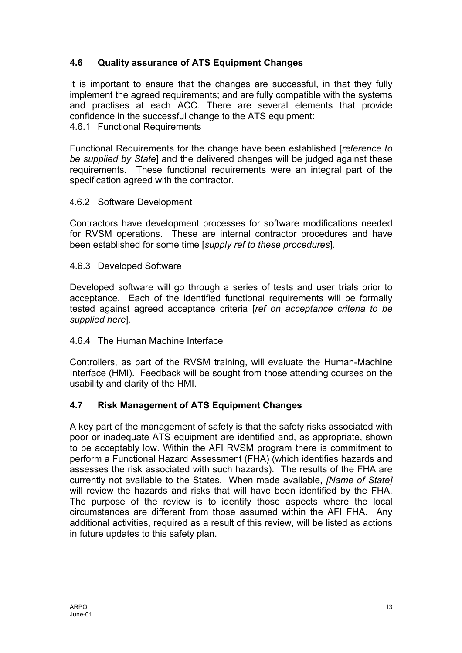# **4.6 Quality assurance of ATS Equipment Changes**

It is important to ensure that the changes are successful, in that they fully implement the agreed requirements; and are fully compatible with the systems and practises at each ACC. There are several elements that provide confidence in the successful change to the ATS equipment: 4.6.1 Functional Requirements

Functional Requirements for the change have been established [*reference to be supplied by State*] and the delivered changes will be judged against these requirements. These functional requirements were an integral part of the specification agreed with the contractor.

## 4.6.2 Software Development

Contractors have development processes for software modifications needed for RVSM operations. These are internal contractor procedures and have been established for some time [*supply ref to these procedures*]*.* 

## 4.6.3 Developed Software

Developed software will go through a series of tests and user trials prior to acceptance. Each of the identified functional requirements will be formally tested against agreed acceptance criteria [*ref on acceptance criteria to be supplied here*]*.* 

## 4.6.4 The Human Machine Interface

Controllers, as part of the RVSM training, will evaluate the Human-Machine Interface (HMI). Feedback will be sought from those attending courses on the usability and clarity of the HMI.

## **4.7 Risk Management of ATS Equipment Changes**

A key part of the management of safety is that the safety risks associated with poor or inadequate ATS equipment are identified and, as appropriate, shown to be acceptably low. Within the AFI RVSM program there is commitment to perform a Functional Hazard Assessment (FHA) (which identifies hazards and assesses the risk associated with such hazards). The results of the FHA are currently not available to the States. When made available, *[Name of State]* will review the hazards and risks that will have been identified by the FHA. The purpose of the review is to identify those aspects where the local circumstances are different from those assumed within the AFI FHA. Any additional activities, required as a result of this review, will be listed as actions in future updates to this safety plan.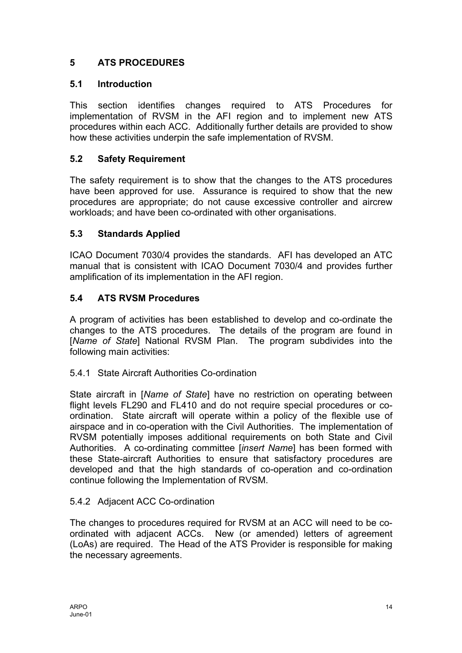# <span id="page-15-0"></span>**5 ATS PROCEDURES**

# **5.1 Introduction**

This section identifies changes required to ATS Procedures for implementation of RVSM in the AFI region and to implement new ATS procedures within each ACC. Additionally further details are provided to show how these activities underpin the safe implementation of RVSM.

# **5.2 Safety Requirement**

The safety requirement is to show that the changes to the ATS procedures have been approved for use. Assurance is required to show that the new procedures are appropriate; do not cause excessive controller and aircrew workloads; and have been co-ordinated with other organisations.

# **5.3 Standards Applied**

ICAO Document 7030/4 provides the standards. AFI has developed an ATC manual that is consistent with ICAO Document 7030/4 and provides further amplification of its implementation in the AFI region.

# **5.4 ATS RVSM Procedures**

A program of activities has been established to develop and co-ordinate the changes to the ATS procedures. The details of the program are found in [*Name of State*] National RVSM Plan. The program subdivides into the following main activities:

## 5.4.1 State Aircraft Authorities Co-ordination

State aircraft in [*Name of State*] have no restriction on operating between flight levels FL290 and FL410 and do not require special procedures or coordination. State aircraft will operate within a policy of the flexible use of airspace and in co-operation with the Civil Authorities. The implementation of RVSM potentially imposes additional requirements on both State and Civil Authorities. A co-ordinating committee [*insert Name*] has been formed with these State-aircraft Authorities to ensure that satisfactory procedures are developed and that the high standards of co-operation and co-ordination continue following the Implementation of RVSM.

## 5.4.2 Adjacent ACC Co-ordination

The changes to procedures required for RVSM at an ACC will need to be coordinated with adjacent ACCs. New (or amended) letters of agreement (LoAs) are required. The Head of the ATS Provider is responsible for making the necessary agreements.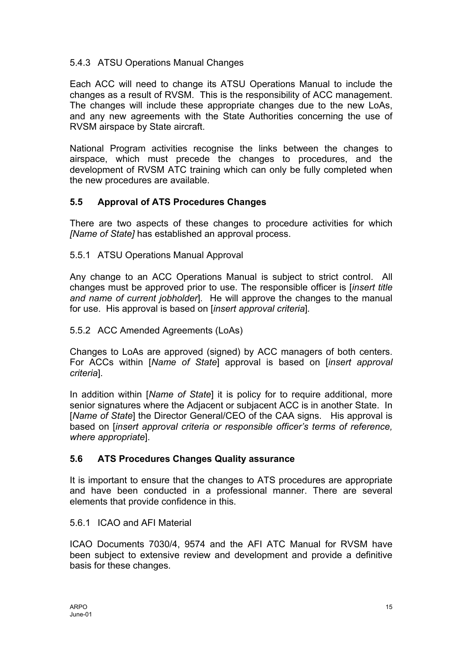## 5.4.3 ATSU Operations Manual Changes

Each ACC will need to change its ATSU Operations Manual to include the changes as a result of RVSM. This is the responsibility of ACC management. The changes will include these appropriate changes due to the new LoAs, and any new agreements with the State Authorities concerning the use of RVSM airspace by State aircraft.

National Program activities recognise the links between the changes to airspace, which must precede the changes to procedures, and the development of RVSM ATC training which can only be fully completed when the new procedures are available.

## **5.5 Approval of ATS Procedures Changes**

There are two aspects of these changes to procedure activities for which *[Name of State]* has established an approval process.

5.5.1 ATSU Operations Manual Approval

Any change to an ACC Operations Manual is subject to strict control. All changes must be approved prior to use. The responsible officer is [*insert title and name of current jobholder*]*.* He will approve the changes to the manual for use. His approval is based on [*insert approval criteria*]*.* 

## 5.5.2 ACC Amended Agreements (LoAs)

Changes to LoAs are approved (signed) by ACC managers of both centers. For ACCs within [*Name of State*] approval is based on [*insert approval criteria*].

In addition within [*Name of State*] it is policy for to require additional, more senior signatures where the Adjacent or subjacent ACC is in another State. In [*Name of State*] the Director General/CEO of the CAA signs. His approval is based on [*insert approval criteria or responsible officer's terms of reference, where appropriate*].

## **5.6 ATS Procedures Changes Quality assurance**

It is important to ensure that the changes to ATS procedures are appropriate and have been conducted in a professional manner. There are several elements that provide confidence in this.

## 5.6.1 ICAO and AFI Material

ICAO Documents 7030/4, 9574 and the AFI ATC Manual for RVSM have been subject to extensive review and development and provide a definitive basis for these changes.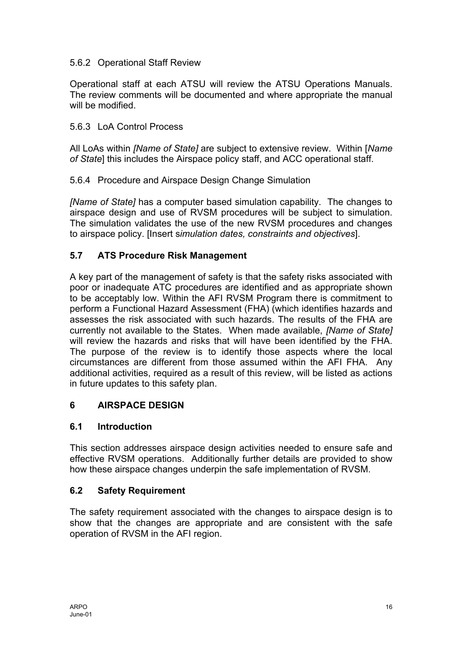## <span id="page-17-0"></span>5.6.2 Operational Staff Review

Operational staff at each ATSU will review the ATSU Operations Manuals. The review comments will be documented and where appropriate the manual will be modified.

## 5.6.3 LoA Control Process

All LoAs within *[Name of State]* are subject to extensive review. Within [*Name of State*] this includes the Airspace policy staff, and ACC operational staff.

## 5.6.4 Procedure and Airspace Design Change Simulation

*[Name of State]* has a computer based simulation capability. The changes to airspace design and use of RVSM procedures will be subject to simulation. The simulation validates the use of the new RVSM procedures and changes to airspace policy. [Insert s*imulation dates, constraints and objectives*].

## **5.7 ATS Procedure Risk Management**

A key part of the management of safety is that the safety risks associated with poor or inadequate ATC procedures are identified and as appropriate shown to be acceptably low. Within the AFI RVSM Program there is commitment to perform a Functional Hazard Assessment (FHA) (which identifies hazards and assesses the risk associated with such hazards. The results of the FHA are currently not available to the States. When made available, *[Name of State]* will review the hazards and risks that will have been identified by the FHA. The purpose of the review is to identify those aspects where the local circumstances are different from those assumed within the AFI FHA. Any additional activities, required as a result of this review, will be listed as actions in future updates to this safety plan.

## **6 AIRSPACE DESIGN**

## **6.1 Introduction**

This section addresses airspace design activities needed to ensure safe and effective RVSM operations. Additionally further details are provided to show how these airspace changes underpin the safe implementation of RVSM.

## **6.2 Safety Requirement**

The safety requirement associated with the changes to airspace design is to show that the changes are appropriate and are consistent with the safe operation of RVSM in the AFI region.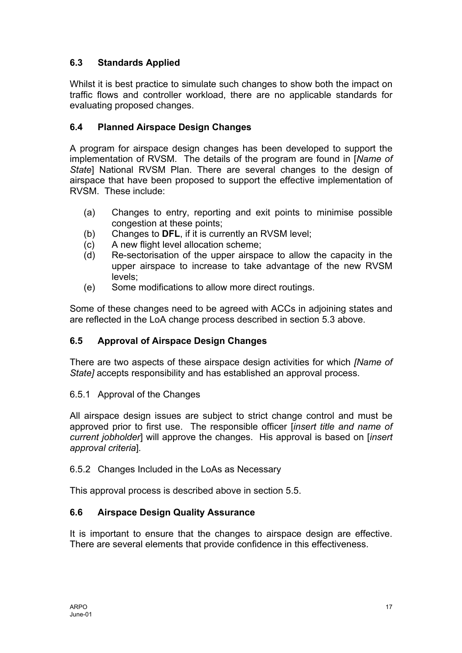# **6.3 Standards Applied**

Whilst it is best practice to simulate such changes to show both the impact on traffic flows and controller workload, there are no applicable standards for evaluating proposed changes.

# **6.4 Planned Airspace Design Changes**

A program for airspace design changes has been developed to support the implementation of RVSM. The details of the program are found in [*Name of State*] National RVSM Plan. There are several changes to the design of airspace that have been proposed to support the effective implementation of RVSM. These include:

- (a) Changes to entry, reporting and exit points to minimise possible congestion at these points;
- (b) Changes to **DFL**, if it is currently an RVSM level;
- (c) A new flight level allocation scheme;
- (d) Re-sectorisation of the upper airspace to allow the capacity in the upper airspace to increase to take advantage of the new RVSM levels;
- (e) Some modifications to allow more direct routings.

Some of these changes need to be agreed with ACCs in adjoining states and are reflected in the LoA change process described in section 5.3 above.

# **6.5 Approval of Airspace Design Changes**

There are two aspects of these airspace design activities for which *[Name of State]* accepts responsibility and has established an approval process.

## 6.5.1 Approval of the Changes

All airspace design issues are subject to strict change control and must be approved prior to first use. The responsible officer [*insert title and name of current jobholder*] will approve the changes. His approval is based on [*insert approval criteria*]*.* 

## 6.5.2 Changes Included in the LoAs as Necessary

This approval process is described above in section 5.5.

## **6.6 Airspace Design Quality Assurance**

It is important to ensure that the changes to airspace design are effective. There are several elements that provide confidence in this effectiveness.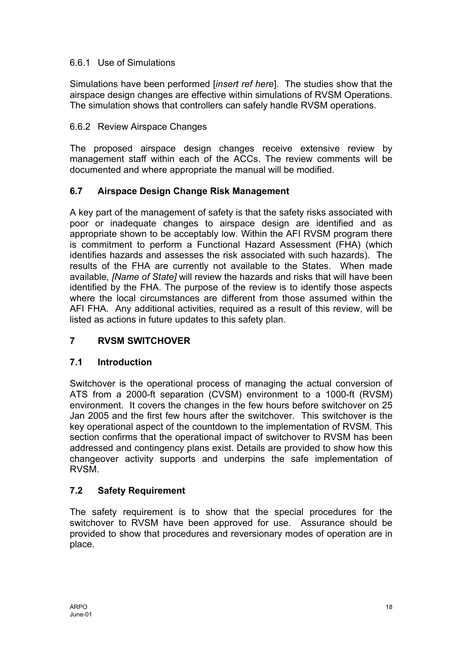## <span id="page-19-0"></span>6.6.1 Use of Simulations

Simulations have been performed [*insert ref here*]. The studies show that the airspace design changes are effective within simulations of RVSM Operations. The simulation shows that controllers can safely handle RVSM operations.

# 6.6.2 Review Airspace Changes

The proposed airspace design changes receive extensive review by management staff within each of the ACCs. The review comments will be documented and where appropriate the manual will be modified.

# **6.7 Airspace Design Change Risk Management**

A key part of the management of safety is that the safety risks associated with poor or inadequate changes to airspace design are identified and as appropriate shown to be acceptably low. Within the AFI RVSM program there is commitment to perform a Functional Hazard Assessment (FHA) (which identifies hazards and assesses the risk associated with such hazards). The results of the FHA are currently not available to the States. When made available, *[Name of State]* will review the hazards and risks that will have been identified by the FHA. The purpose of the review is to identify those aspects where the local circumstances are different from those assumed within the AFI FHA. Any additional activities, required as a result of this review, will be listed as actions in future updates to this safety plan.

# **7 RVSM SWITCHOVER**

## **7.1 Introduction**

Switchover is the operational process of managing the actual conversion of ATS from a 2000-ft separation (CVSM) environment to a 1000-ft (RVSM) environment. It covers the changes in the few hours before switchover on 25 Jan 2005 and the first few hours after the switchover. This switchover is the key operational aspect of the countdown to the implementation of RVSM. This section confirms that the operational impact of switchover to RVSM has been addressed and contingency plans exist. Details are provided to show how this changeover activity supports and underpins the safe implementation of RVSM.

# **7.2 Safety Requirement**

The safety requirement is to show that the special procedures for the switchover to RVSM have been approved for use. Assurance should be provided to show that procedures and reversionary modes of operation are in place.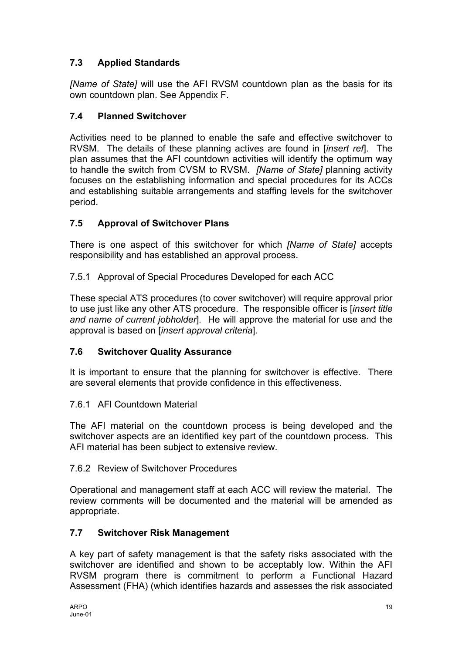# **7.3 Applied Standards**

*[Name of State]* will use the AFI RVSM countdown plan as the basis for its own countdown plan. See Appendix F.

# **7.4 Planned Switchover**

Activities need to be planned to enable the safe and effective switchover to RVSM. The details of these planning actives are found in [*insert ref*]. The plan assumes that the AFI countdown activities will identify the optimum way to handle the switch from CVSM to RVSM. *[Name of State]* planning activity focuses on the establishing information and special procedures for its ACCs and establishing suitable arrangements and staffing levels for the switchover period.

# **7.5 Approval of Switchover Plans**

There is one aspect of this switchover for which *[Name of State]* accepts responsibility and has established an approval process.

7.5.1 Approval of Special Procedures Developed for each ACC

These special ATS procedures (to cover switchover) will require approval prior to use just like any other ATS procedure. The responsible officer is [*insert title and name of current jobholder*]*.* He will approve the material for use and the approval is based on [*insert approval criteria*]*.* 

## **7.6 Switchover Quality Assurance**

It is important to ensure that the planning for switchover is effective. There are several elements that provide confidence in this effectiveness.

## 7.6.1 AFl Countdown Material

The AFI material on the countdown process is being developed and the switchover aspects are an identified key part of the countdown process. This AFI material has been subject to extensive review.

## 7.6.2 Review of Switchover Procedures

Operational and management staff at each ACC will review the material. The review comments will be documented and the material will be amended as appropriate.

# **7.7 Switchover Risk Management**

A key part of safety management is that the safety risks associated with the switchover are identified and shown to be acceptably low. Within the AFI RVSM program there is commitment to perform a Functional Hazard Assessment (FHA) (which identifies hazards and assesses the risk associated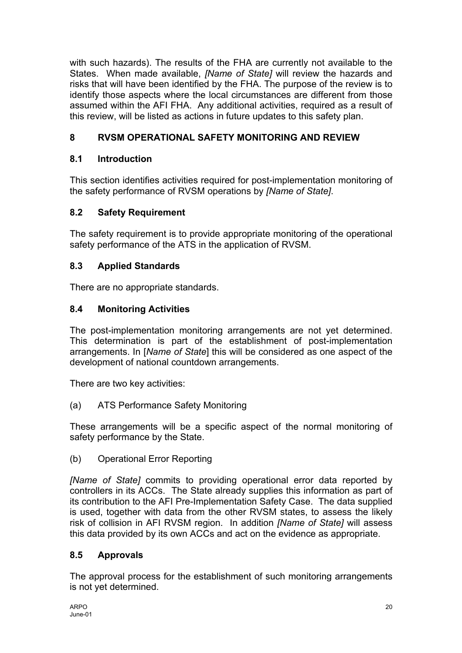<span id="page-21-0"></span>with such hazards). The results of the FHA are currently not available to the States. When made available, *[Name of State]* will review the hazards and risks that will have been identified by the FHA. The purpose of the review is to identify those aspects where the local circumstances are different from those assumed within the AFI FHA. Any additional activities, required as a result of this review, will be listed as actions in future updates to this safety plan.

# **8 RVSM OPERATIONAL SAFETY MONITORING AND REVIEW**

# **8.1 Introduction**

This section identifies activities required for post-implementation monitoring of the safety performance of RVSM operations by *[Name of State]*.

# **8.2 Safety Requirement**

The safety requirement is to provide appropriate monitoring of the operational safety performance of the ATS in the application of RVSM.

# **8.3 Applied Standards**

There are no appropriate standards.

# **8.4 Monitoring Activities**

The post-implementation monitoring arrangements are not yet determined. This determination is part of the establishment of post-implementation arrangements. In [*Name of State*] this will be considered as one aspect of the development of national countdown arrangements.

There are two key activities:

(a) ATS Performance Safety Monitoring

These arrangements will be a specific aspect of the normal monitoring of safety performance by the State.

(b) Operational Error Reporting

*[Name of State]* commits to providing operational error data reported by controllers in its ACCs. The State already supplies this information as part of its contribution to the AFI Pre-Implementation Safety Case. The data supplied is used, together with data from the other RVSM states, to assess the likely risk of collision in AFI RVSM region. In addition *[Name of State]* will assess this data provided by its own ACCs and act on the evidence as appropriate.

# **8.5 Approvals**

The approval process for the establishment of such monitoring arrangements is not yet determined.